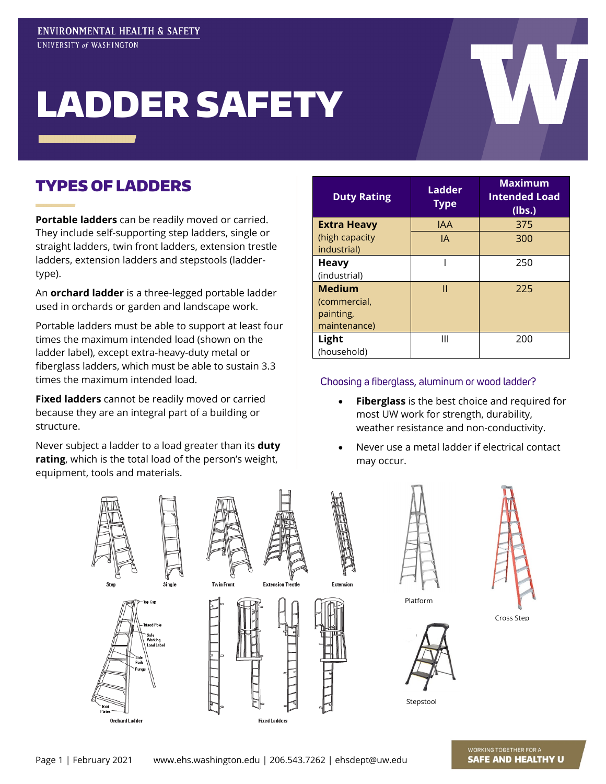# LADDER SAFETY

#### TYPES OF LADDERS

**Portable ladders** can be readily moved or carried. They include self-supporting step ladders, single or straight ladders, twin front ladders, extension trestle ladders, extension ladders and stepstools (laddertype).

An **orchard ladder** is a three-legged portable ladder used in orchards or garden and landscape work.

Portable ladders must be able to support at least four times the maximum intended load (shown on the ladder label), except extra-heavy-duty metal or fiberglass ladders, which must be able to sustain 3.3 times the maximum intended load.

**Fixed ladders** cannot be readily moved or carried because they are an integral part of a building or structure.

Never subject a ladder to a load greater than its **duty rating**, which is the total load of the person's weight, equipment, tools and materials.

| <b>Duty Rating</b>                                         | <b>Ladder</b><br><b>Type</b> | <b>Maximum</b><br><b>Intended Load</b><br>(lbs.) |
|------------------------------------------------------------|------------------------------|--------------------------------------------------|
| <b>Extra Heavy</b>                                         | IAA                          | 375                                              |
| (high capacity<br>industrial)                              | IA                           | 300                                              |
| <b>Heavy</b>                                               |                              | 250                                              |
| (industrial)                                               |                              |                                                  |
| <b>Medium</b><br>(commercial,<br>painting,<br>maintenance) | П                            | 225                                              |
| Light<br>(household)                                       | Ш                            | 200                                              |

#### Choosing a fiberglass, aluminum or wood ladder?

- **Fiberglass** is the best choice and required for most UW work for strength, durability, weather resistance and non-conductivity.
- Never use a metal ladder if electrical contact may occur.

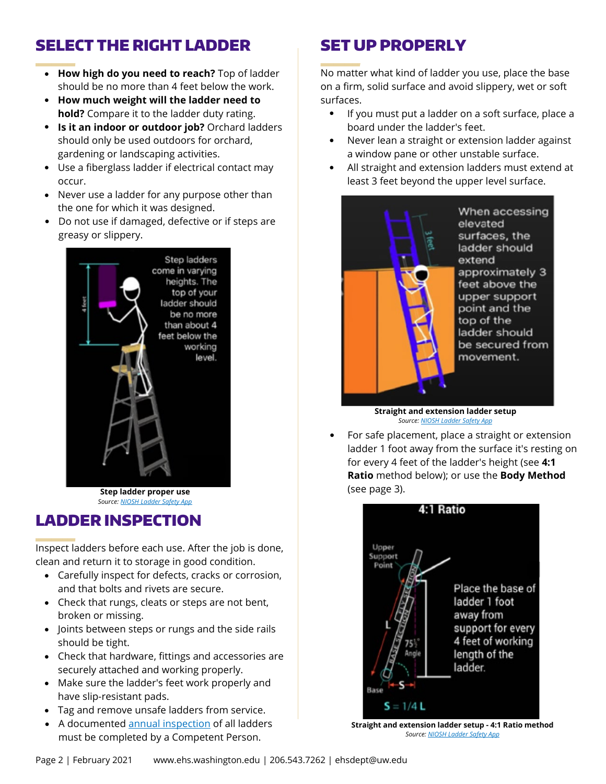## SELECT THE RIGHT LADDER

- **How high do you need to reach?** Top of ladder should be no more than 4 feet below the work.
- **How much weight will the ladder need to hold?** Compare it to the ladder duty rating.
- **Is it an indoor or outdoor job?** Orchard ladders should only be used outdoors for orchard, gardening or landscaping activities.
- Use a fiberglass ladder if electrical contact may occur.
- Never use a ladder for any purpose other than the one for which it was designed.
- Do not use if damaged, defective or if steps are greasy or slippery.



*Source[: NIOSH Ladder Safety App](http://www.cdc.gov/niosh/topics/falls/mobileapp.html)*

#### LADDER INSPECTION

Inspect ladders before each use. After the job is done, clean and return it to storage in good condition.

- Carefully inspect for defects, cracks or corrosion, and that bolts and rivets are secure.
- Check that rungs, cleats or steps are not bent, broken or missing.
- Joints between steps or rungs and the side rails should be tight.
- Check that hardware, fittings and accessories are securely attached and working properly.
- Make sure the ladder's feet work properly and have slip-resistant pads.
- Tag and remove unsafe ladders from service.
- A documented [annual inspection](https://www.ehs.washington.edu/workplace/fall-protection) of all ladders must be completed by a Competent Person.

# SET UP PROPERLY

No matter what kind of ladder you use, place the base on a firm, solid surface and avoid slippery, wet or soft surfaces.

- If you must put a ladder on a soft surface, place a board under the ladder's feet.
- Never lean a straight or extension ladder against a window pane or other unstable surface.
- All straight and extension ladders must extend at least 3 feet beyond the upper level surface.



*Source[: NIOSH Ladder Safety App](http://www.cdc.gov/niosh/topics/falls/mobileapp.html)*

For safe placement, place a straight or extension ladder 1 foot away from the surface it's resting on for every 4 feet of the ladder's height (see **4:1 Ratio** method below); or use the **Body Method Step ladder proper use Example 20 and Step ladder proper use** (see page 3).



**Straight and extension ladder setup - 4:1 Ratio method** *Source[: NIOSH Ladder Safety App](http://www.cdc.gov/niosh/topics/falls/mobileapp.html)*